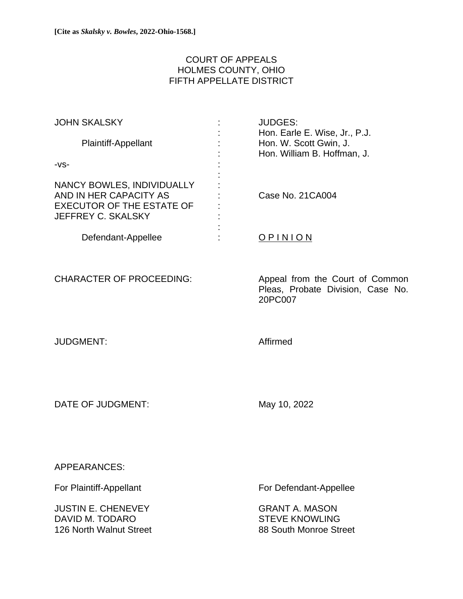# COURT OF APPEALS HOLMES COUNTY, OHIO FIFTH APPELLATE DISTRICT

| <b>JOHN SKALSKY</b>               | <b>JUDGES:</b>                |
|-----------------------------------|-------------------------------|
|                                   | Hon. Earle E. Wise, Jr., P.J. |
| Plaintiff-Appellant               | Hon. W. Scott Gwin, J.        |
|                                   | Hon. William B. Hoffman, J.   |
| -VS-                              |                               |
|                                   |                               |
| <b>NANCY BOWLES, INDIVIDUALLY</b> |                               |
| AND IN HER CAPACITY AS            | Case No. 21CA004              |
| <b>EXECUTOR OF THE ESTATE OF</b>  |                               |
| JEFFREY C. SKALSKY                |                               |
|                                   |                               |
| Defendant-Appellee                | OPINION                       |
|                                   |                               |
|                                   |                               |

CHARACTER OF PROCEEDING: Appeal from the Court of Common Pleas, Probate Division, Case No. 20PC007

JUDGMENT: Affirmed

DATE OF JUDGMENT: May 10, 2022

APPEARANCES:

**JUSTIN E. CHENEVEY** GRANT A. MASON DAVID M. TODARO STEVE KNOWLING 126 North Walnut Street 126 North Walnut Street

For Plaintiff-Appellant For Defendant-Appellee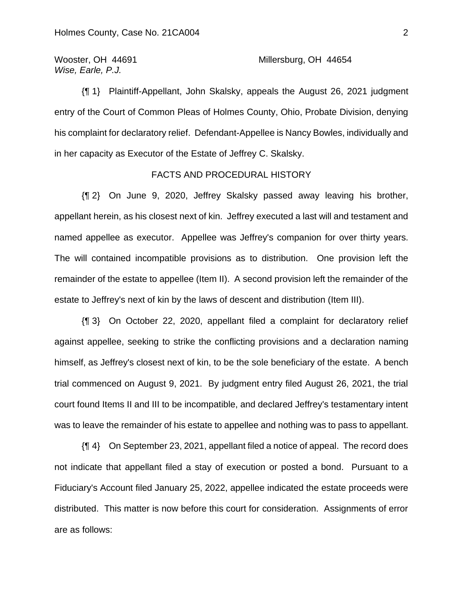*Wise, Earle, P.J.*

# Wooster, OH 44691 Millersburg, OH 44654

{¶ 1} Plaintiff-Appellant, John Skalsky, appeals the August 26, 2021 judgment entry of the Court of Common Pleas of Holmes County, Ohio, Probate Division, denying his complaint for declaratory relief. Defendant-Appellee is Nancy Bowles, individually and in her capacity as Executor of the Estate of Jeffrey C. Skalsky.

# FACTS AND PROCEDURAL HISTORY

{¶ 2} On June 9, 2020, Jeffrey Skalsky passed away leaving his brother, appellant herein, as his closest next of kin. Jeffrey executed a last will and testament and named appellee as executor. Appellee was Jeffrey's companion for over thirty years. The will contained incompatible provisions as to distribution. One provision left the remainder of the estate to appellee (Item II). A second provision left the remainder of the estate to Jeffrey's next of kin by the laws of descent and distribution (Item III).

{¶ 3} On October 22, 2020, appellant filed a complaint for declaratory relief against appellee, seeking to strike the conflicting provisions and a declaration naming himself, as Jeffrey's closest next of kin, to be the sole beneficiary of the estate. A bench trial commenced on August 9, 2021. By judgment entry filed August 26, 2021, the trial court found Items II and III to be incompatible, and declared Jeffrey's testamentary intent was to leave the remainder of his estate to appellee and nothing was to pass to appellant.

{¶ 4} On September 23, 2021, appellant filed a notice of appeal. The record does not indicate that appellant filed a stay of execution or posted a bond. Pursuant to a Fiduciary's Account filed January 25, 2022, appellee indicated the estate proceeds were distributed. This matter is now before this court for consideration. Assignments of error are as follows: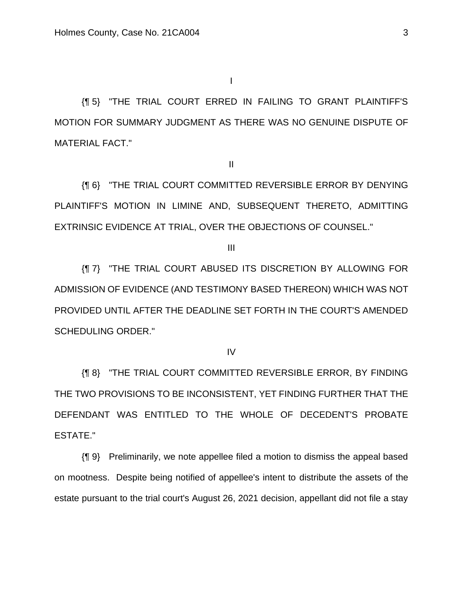I

{¶ 5} "THE TRIAL COURT ERRED IN FAILING TO GRANT PLAINTIFF'S MOTION FOR SUMMARY JUDGMENT AS THERE WAS NO GENUINE DISPUTE OF MATERIAL FACT."

II

{¶ 6} "THE TRIAL COURT COMMITTED REVERSIBLE ERROR BY DENYING PLAINTIFF'S MOTION IN LIMINE AND, SUBSEQUENT THERETO, ADMITTING EXTRINSIC EVIDENCE AT TRIAL, OVER THE OBJECTIONS OF COUNSEL."

III

{¶ 7} "THE TRIAL COURT ABUSED ITS DISCRETION BY ALLOWING FOR ADMISSION OF EVIDENCE (AND TESTIMONY BASED THEREON) WHICH WAS NOT PROVIDED UNTIL AFTER THE DEADLINE SET FORTH IN THE COURT'S AMENDED SCHEDULING ORDER."

IV

{¶ 8} "THE TRIAL COURT COMMITTED REVERSIBLE ERROR, BY FINDING THE TWO PROVISIONS TO BE INCONSISTENT, YET FINDING FURTHER THAT THE DEFENDANT WAS ENTITLED TO THE WHOLE OF DECEDENT'S PROBATE ESTATE."

{¶ 9} Preliminarily, we note appellee filed a motion to dismiss the appeal based on mootness. Despite being notified of appellee's intent to distribute the assets of the estate pursuant to the trial court's August 26, 2021 decision, appellant did not file a stay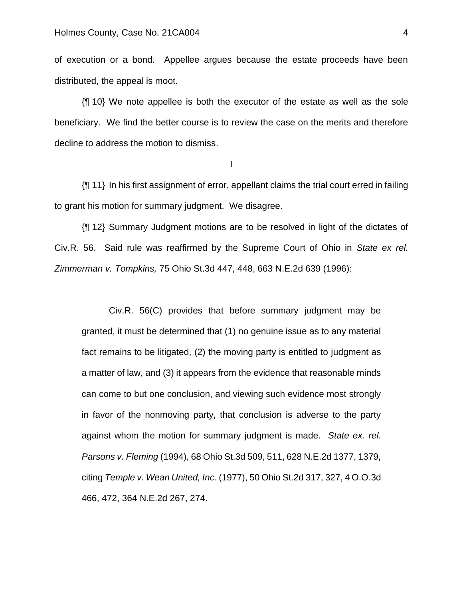of execution or a bond. Appellee argues because the estate proceeds have been distributed, the appeal is moot.

{¶ 10} We note appellee is both the executor of the estate as well as the sole beneficiary. We find the better course is to review the case on the merits and therefore decline to address the motion to dismiss.

I

{¶ 11} In his first assignment of error, appellant claims the trial court erred in failing to grant his motion for summary judgment. We disagree.

{¶ 12} Summary Judgment motions are to be resolved in light of the dictates of Civ.R. 56. Said rule was reaffirmed by the Supreme Court of Ohio in *State ex rel. Zimmerman v. Tompkins,* 75 Ohio St.3d 447, 448, 663 N.E.2d 639 (1996):

Civ.R. 56(C) provides that before summary judgment may be granted, it must be determined that (1) no genuine issue as to any material fact remains to be litigated, (2) the moving party is entitled to judgment as a matter of law, and (3) it appears from the evidence that reasonable minds can come to but one conclusion, and viewing such evidence most strongly in favor of the nonmoving party, that conclusion is adverse to the party against whom the motion for summary judgment is made. *State ex. rel. Parsons v. Fleming* (1994), 68 Ohio St.3d 509, 511, 628 N.E.2d 1377, 1379, citing *Temple v. Wean United, Inc.* (1977), 50 Ohio St.2d 317, 327, 4 O.O.3d 466, 472, 364 N.E.2d 267, 274.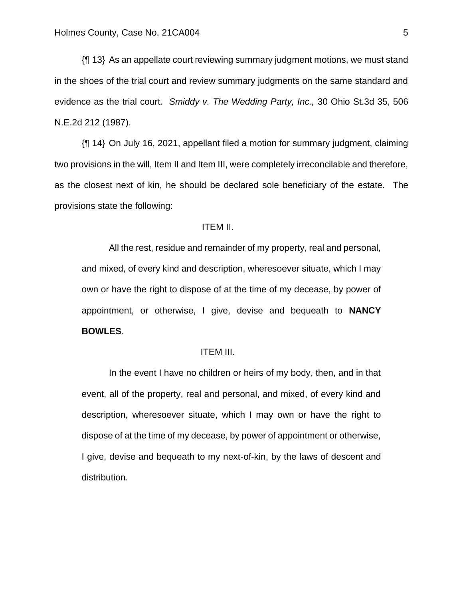{¶ 13} As an appellate court reviewing summary judgment motions, we must stand in the shoes of the trial court and review summary judgments on the same standard and evidence as the trial court*. Smiddy v. The Wedding Party, Inc.,* 30 Ohio St.3d 35, 506 N.E.2d 212 (1987).

{¶ 14} On July 16, 2021, appellant filed a motion for summary judgment, claiming two provisions in the will, Item II and Item III, were completely irreconcilable and therefore, as the closest next of kin, he should be declared sole beneficiary of the estate. The provisions state the following:

### ITEM II.

All the rest, residue and remainder of my property, real and personal, and mixed, of every kind and description, wheresoever situate, which I may own or have the right to dispose of at the time of my decease, by power of appointment, or otherwise, I give, devise and bequeath to **NANCY BOWLES**.

### ITEM III.

In the event I have no children or heirs of my body, then, and in that event, all of the property, real and personal, and mixed, of every kind and description, wheresoever situate, which I may own or have the right to dispose of at the time of my decease, by power of appointment or otherwise, I give, devise and bequeath to my next-of-kin, by the laws of descent and distribution.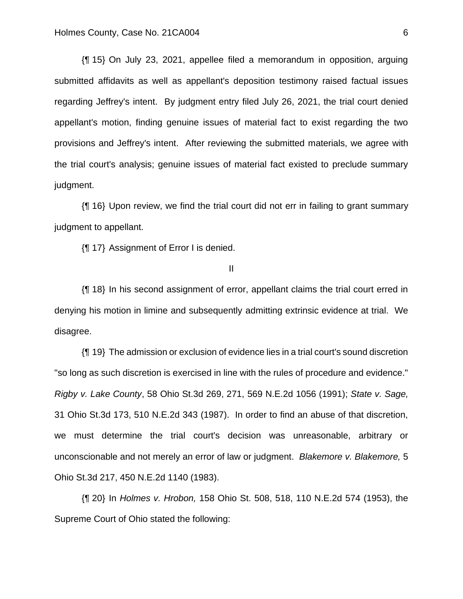{¶ 15} On July 23, 2021, appellee filed a memorandum in opposition, arguing submitted affidavits as well as appellant's deposition testimony raised factual issues regarding Jeffrey's intent. By judgment entry filed July 26, 2021, the trial court denied appellant's motion, finding genuine issues of material fact to exist regarding the two provisions and Jeffrey's intent. After reviewing the submitted materials, we agree with the trial court's analysis; genuine issues of material fact existed to preclude summary judgment.

{¶ 16} Upon review, we find the trial court did not err in failing to grant summary judgment to appellant.

{¶ 17} Assignment of Error I is denied.

II

{¶ 18} In his second assignment of error, appellant claims the trial court erred in denying his motion in limine and subsequently admitting extrinsic evidence at trial. We disagree.

{¶ 19} The admission or exclusion of evidence lies in a trial court's sound discretion "so long as such discretion is exercised in line with the rules of procedure and evidence." *Rigby v. Lake County*, 58 Ohio St.3d 269, 271, 569 N.E.2d 1056 (1991); *State v. Sage,* 31 Ohio St.3d 173, 510 N.E.2d 343 (1987). In order to find an abuse of that discretion, we must determine the trial court's decision was unreasonable, arbitrary or unconscionable and not merely an error of law or judgment. *Blakemore v. Blakemore,* 5 Ohio St.3d 217, 450 N.E.2d 1140 (1983).

{¶ 20} In *Holmes v. Hrobon,* 158 Ohio St. 508, 518, 110 N.E.2d 574 (1953), the Supreme Court of Ohio stated the following: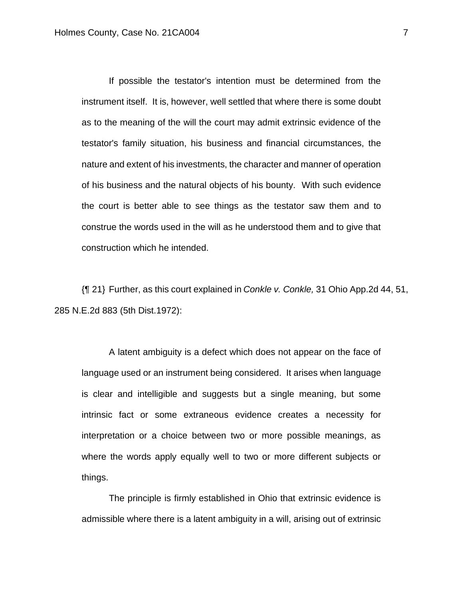If possible the testator's intention must be determined from the instrument itself. It is, however, well settled that where there is some doubt as to the meaning of the will the court may admit extrinsic evidence of the testator's family situation, his business and financial circumstances, the nature and extent of his investments, the character and manner of operation of his business and the natural objects of his bounty. With such evidence the court is better able to see things as the testator saw them and to construe the words used in the will as he understood them and to give that construction which he intended.

{¶ 21} Further, as this court explained in *Conkle v. Conkle,* 31 Ohio App.2d 44, 51, 285 N.E.2d 883 (5th Dist.1972):

A latent ambiguity is a defect which does not appear on the face of language used or an instrument being considered. It arises when language is clear and intelligible and suggests but a single meaning, but some intrinsic fact or some extraneous evidence creates a necessity for interpretation or a choice between two or more possible meanings, as where the words apply equally well to two or more different subjects or things.

The principle is firmly established in Ohio that extrinsic evidence is admissible where there is a latent ambiguity in a will, arising out of extrinsic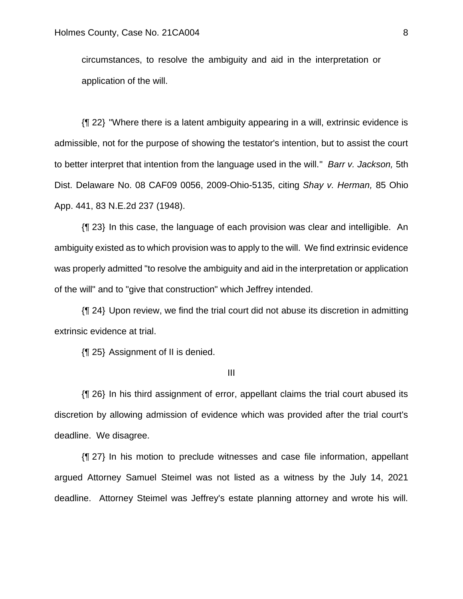circumstances, to resolve the ambiguity and aid in the interpretation or application of the will.

{¶ 22} "Where there is a latent ambiguity appearing in a will, extrinsic evidence is admissible, not for the purpose of showing the testator's intention, but to assist the court to better interpret that intention from the language used in the will." *Barr v. Jackson,* 5th Dist. Delaware No. 08 CAF09 0056, 2009-Ohio-5135, citing *Shay v. Herman,* 85 Ohio App. 441, 83 N.E.2d 237 (1948).

{¶ 23} In this case, the language of each provision was clear and intelligible. An ambiguity existed as to which provision was to apply to the will. We find extrinsic evidence was properly admitted "to resolve the ambiguity and aid in the interpretation or application of the will" and to "give that construction" which Jeffrey intended.

{¶ 24} Upon review, we find the trial court did not abuse its discretion in admitting extrinsic evidence at trial.

{¶ 25} Assignment of II is denied.

III

{¶ 26} In his third assignment of error, appellant claims the trial court abused its discretion by allowing admission of evidence which was provided after the trial court's deadline. We disagree.

{¶ 27} In his motion to preclude witnesses and case file information, appellant argued Attorney Samuel Steimel was not listed as a witness by the July 14, 2021 deadline. Attorney Steimel was Jeffrey's estate planning attorney and wrote his will.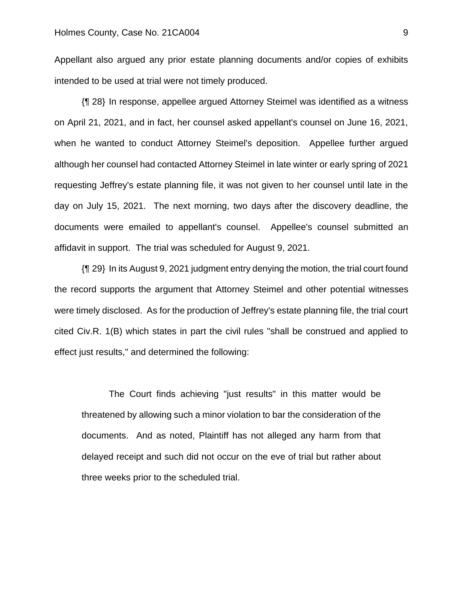Appellant also argued any prior estate planning documents and/or copies of exhibits intended to be used at trial were not timely produced.

{¶ 28} In response, appellee argued Attorney Steimel was identified as a witness on April 21, 2021, and in fact, her counsel asked appellant's counsel on June 16, 2021, when he wanted to conduct Attorney Steimel's deposition. Appellee further argued although her counsel had contacted Attorney Steimel in late winter or early spring of 2021 requesting Jeffrey's estate planning file, it was not given to her counsel until late in the day on July 15, 2021. The next morning, two days after the discovery deadline, the documents were emailed to appellant's counsel. Appellee's counsel submitted an affidavit in support. The trial was scheduled for August 9, 2021.

{¶ 29} In its August 9, 2021 judgment entry denying the motion, the trial court found the record supports the argument that Attorney Steimel and other potential witnesses were timely disclosed. As for the production of Jeffrey's estate planning file, the trial court cited Civ.R. 1(B) which states in part the civil rules "shall be construed and applied to effect just results," and determined the following:

The Court finds achieving "just results" in this matter would be threatened by allowing such a minor violation to bar the consideration of the documents. And as noted, Plaintiff has not alleged any harm from that delayed receipt and such did not occur on the eve of trial but rather about three weeks prior to the scheduled trial.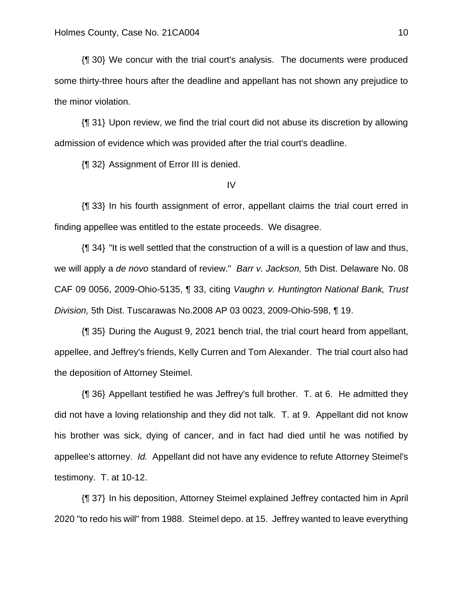{¶ 30} We concur with the trial court's analysis. The documents were produced some thirty-three hours after the deadline and appellant has not shown any prejudice to the minor violation.

{¶ 31} Upon review, we find the trial court did not abuse its discretion by allowing admission of evidence which was provided after the trial court's deadline.

{¶ 32} Assignment of Error III is denied.

### IV

{¶ 33} In his fourth assignment of error, appellant claims the trial court erred in finding appellee was entitled to the estate proceeds. We disagree.

{¶ 34} "It is well settled that the construction of a will is a question of law and thus, we will apply a *de novo* standard of review." *Barr v. Jackson,* 5th Dist. Delaware No. 08 CAF 09 0056, 2009-Ohio-5135, ¶ 33, citing *Vaughn v. Huntington National Bank, Trust Division,* 5th Dist. Tuscarawas No.2008 AP 03 0023, 2009-Ohio-598, ¶ 19.

{¶ 35} During the August 9, 2021 bench trial, the trial court heard from appellant, appellee, and Jeffrey's friends, Kelly Curren and Tom Alexander. The trial court also had the deposition of Attorney Steimel.

{¶ 36} Appellant testified he was Jeffrey's full brother. T. at 6. He admitted they did not have a loving relationship and they did not talk. T. at 9. Appellant did not know his brother was sick, dying of cancer, and in fact had died until he was notified by appellee's attorney. *Id.* Appellant did not have any evidence to refute Attorney Steimel's testimony. T. at 10-12.

{¶ 37} In his deposition, Attorney Steimel explained Jeffrey contacted him in April 2020 "to redo his will" from 1988. Steimel depo. at 15. Jeffrey wanted to leave everything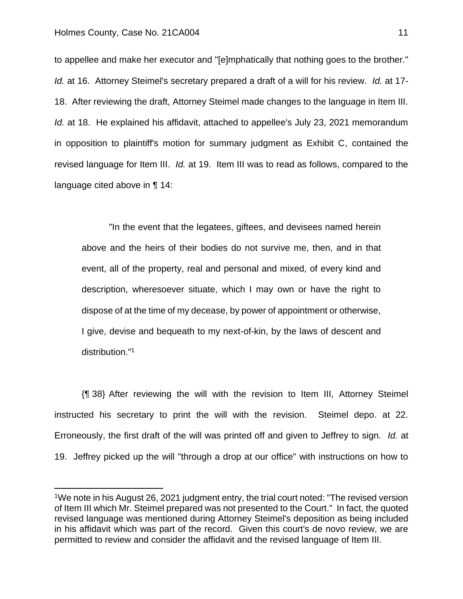to appellee and make her executor and "[e]mphatically that nothing goes to the brother." *Id.* at 16. Attorney Steimel's secretary prepared a draft of a will for his review. *Id.* at 17- 18. After reviewing the draft, Attorney Steimel made changes to the language in Item III. *Id.* at 18. He explained his affidavit, attached to appellee's July 23, 2021 memorandum in opposition to plaintiff's motion for summary judgment as Exhibit C, contained the revised language for Item III. *Id.* at 19. Item III was to read as follows, compared to the language cited above in ¶ 14:

"In the event that the legatees, giftees, and devisees named herein above and the heirs of their bodies do not survive me, then, and in that event, all of the property, real and personal and mixed, of every kind and description, wheresoever situate, which I may own or have the right to dispose of at the time of my decease, by power of appointment or otherwise, I give, devise and bequeath to my next-of-kin, by the laws of descent and distribution." 1

{¶ 38} After reviewing the will with the revision to Item III, Attorney Steimel instructed his secretary to print the will with the revision. Steimel depo. at 22. Erroneously, the first draft of the will was printed off and given to Jeffrey to sign. *Id.* at 19. Jeffrey picked up the will "through a drop at our office" with instructions on how to

<sup>&</sup>lt;sup>1</sup>We note in his August 26, 2021 judgment entry, the trial court noted: "The revised version of Item III which Mr. Steimel prepared was not presented to the Court." In fact, the quoted revised language was mentioned during Attorney Steimel's deposition as being included in his affidavit which was part of the record. Given this court's de novo review, we are permitted to review and consider the affidavit and the revised language of Item III.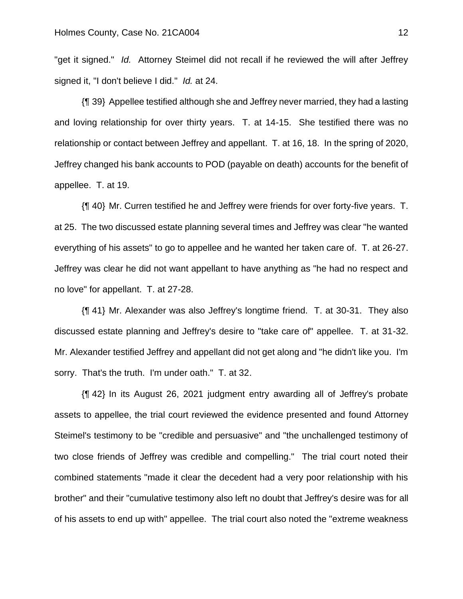"get it signed." *Id.* Attorney Steimel did not recall if he reviewed the will after Jeffrey signed it, "I don't believe I did." *Id.* at 24.

{¶ 39} Appellee testified although she and Jeffrey never married, they had a lasting and loving relationship for over thirty years. T. at 14-15. She testified there was no relationship or contact between Jeffrey and appellant. T. at 16, 18. In the spring of 2020, Jeffrey changed his bank accounts to POD (payable on death) accounts for the benefit of appellee. T. at 19.

{¶ 40} Mr. Curren testified he and Jeffrey were friends for over forty-five years. T. at 25. The two discussed estate planning several times and Jeffrey was clear "he wanted everything of his assets" to go to appellee and he wanted her taken care of. T. at 26-27. Jeffrey was clear he did not want appellant to have anything as "he had no respect and no love" for appellant. T. at 27-28.

{¶ 41} Mr. Alexander was also Jeffrey's longtime friend. T. at 30-31. They also discussed estate planning and Jeffrey's desire to "take care of" appellee. T. at 31-32. Mr. Alexander testified Jeffrey and appellant did not get along and "he didn't like you. I'm sorry. That's the truth. I'm under oath." T. at 32.

{¶ 42} In its August 26, 2021 judgment entry awarding all of Jeffrey's probate assets to appellee, the trial court reviewed the evidence presented and found Attorney Steimel's testimony to be "credible and persuasive" and "the unchallenged testimony of two close friends of Jeffrey was credible and compelling." The trial court noted their combined statements "made it clear the decedent had a very poor relationship with his brother" and their "cumulative testimony also left no doubt that Jeffrey's desire was for all of his assets to end up with" appellee. The trial court also noted the "extreme weakness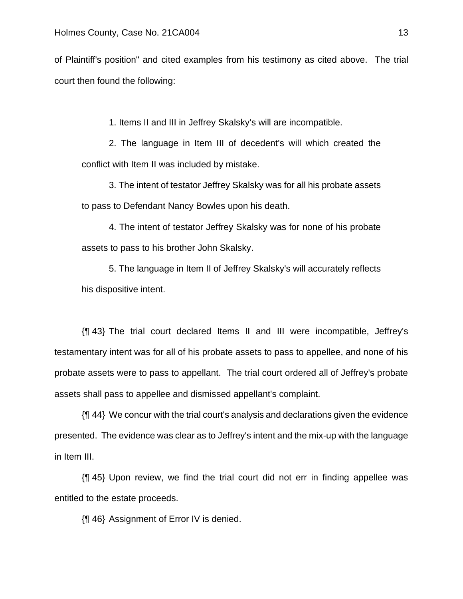of Plaintiff's position" and cited examples from his testimony as cited above. The trial court then found the following:

1. Items II and III in Jeffrey Skalsky's will are incompatible.

2. The language in Item III of decedent's will which created the conflict with Item II was included by mistake.

3. The intent of testator Jeffrey Skalsky was for all his probate assets to pass to Defendant Nancy Bowles upon his death.

4. The intent of testator Jeffrey Skalsky was for none of his probate assets to pass to his brother John Skalsky.

5. The language in Item II of Jeffrey Skalsky's will accurately reflects his dispositive intent.

{¶ 43} The trial court declared Items II and III were incompatible, Jeffrey's testamentary intent was for all of his probate assets to pass to appellee, and none of his probate assets were to pass to appellant. The trial court ordered all of Jeffrey's probate assets shall pass to appellee and dismissed appellant's complaint.

{¶ 44} We concur with the trial court's analysis and declarations given the evidence presented. The evidence was clear as to Jeffrey's intent and the mix-up with the language in Item III.

{¶ 45} Upon review, we find the trial court did not err in finding appellee was entitled to the estate proceeds.

{¶ 46} Assignment of Error IV is denied.